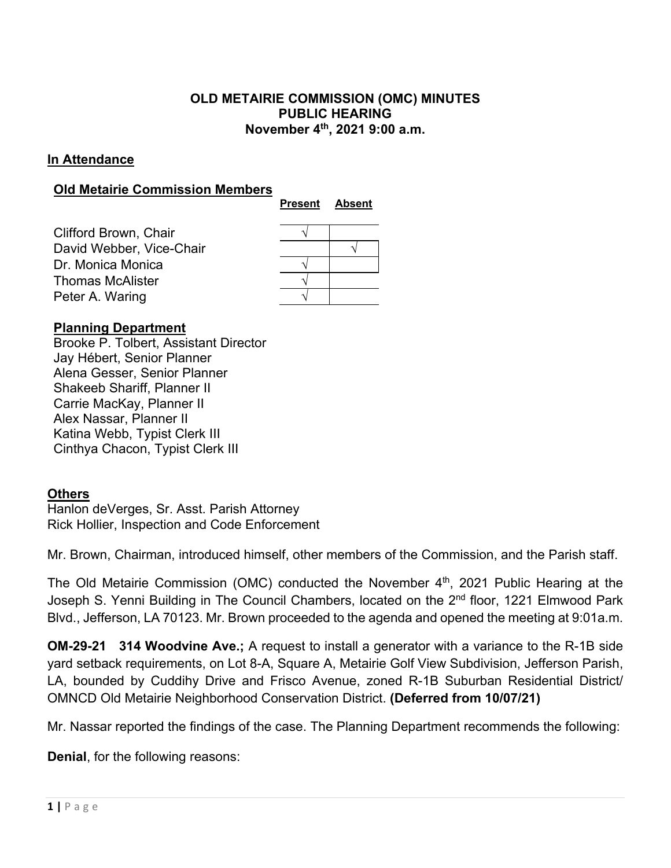# **OLD METAIRIE COMMISSION (OMC) MINUTES PUBLIC HEARING November 4th, 2021 9:00 a.m.**

## **In Attendance**

## **Old Metairie Commission Members**

|                          | <b>Present</b> | <b>Absent</b> |
|--------------------------|----------------|---------------|
| Clifford Brown, Chair    |                |               |
| David Webber, Vice-Chair |                |               |
| Dr. Monica Monica        |                |               |
| Thomas McAlister         |                |               |
| Peter A. Waring          |                |               |
|                          |                |               |

# **Planning Department**

Brooke P. Tolbert, Assistant Director Jay Hébert, Senior Planner Alena Gesser, Senior Planner Shakeeb Shariff, Planner II Carrie MacKay, Planner II Alex Nassar, Planner II Katina Webb, Typist Clerk III Cinthya Chacon, Typist Clerk III

### **Others**

Hanlon deVerges, Sr. Asst. Parish Attorney Rick Hollier, Inspection and Code Enforcement

Mr. Brown, Chairman, introduced himself, other members of the Commission, and the Parish staff.

The Old Metairie Commission (OMC) conducted the November 4<sup>th</sup>, 2021 Public Hearing at the Joseph S. Yenni Building in The Council Chambers, located on the 2<sup>nd</sup> floor, 1221 Elmwood Park Blvd., Jefferson, LA 70123. Mr. Brown proceeded to the agenda and opened the meeting at 9:01a.m.

**OM-29-21 314 Woodvine Ave.;** A request to install a generator with a variance to the R-1B side yard setback requirements, on Lot 8-A, Square A, Metairie Golf View Subdivision, Jefferson Parish, LA, bounded by Cuddihy Drive and Frisco Avenue, zoned R-1B Suburban Residential District/ OMNCD Old Metairie Neighborhood Conservation District. **(Deferred from 10/07/21)**

Mr. Nassar reported the findings of the case. The Planning Department recommends the following:

**Denial**, for the following reasons: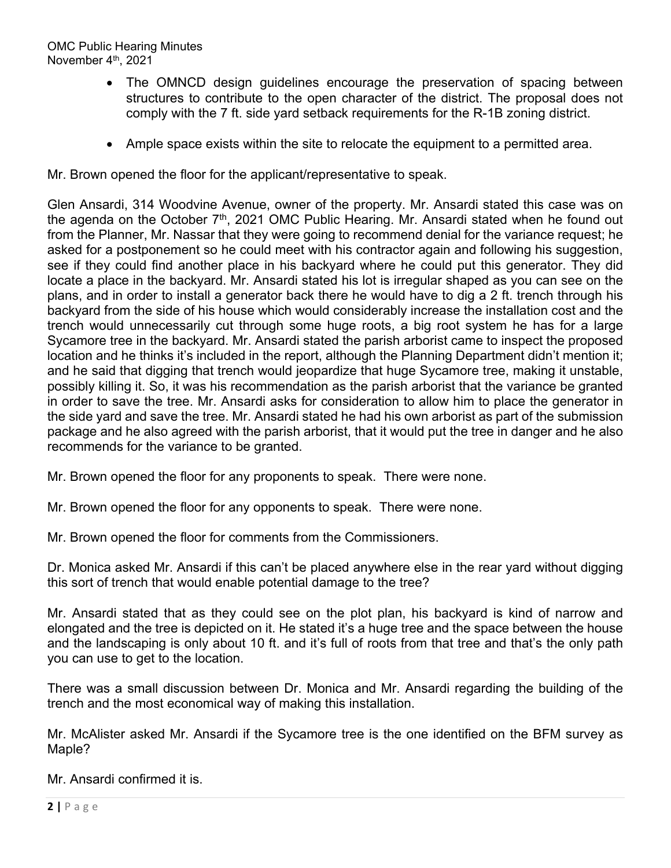- The OMNCD design guidelines encourage the preservation of spacing between structures to contribute to the open character of the district. The proposal does not comply with the 7 ft. side yard setback requirements for the R-1B zoning district.
- Ample space exists within the site to relocate the equipment to a permitted area.

Mr. Brown opened the floor for the applicant/representative to speak.

Glen Ansardi, 314 Woodvine Avenue, owner of the property. Mr. Ansardi stated this case was on the agenda on the October 7<sup>th</sup>, 2021 OMC Public Hearing. Mr. Ansardi stated when he found out from the Planner, Mr. Nassar that they were going to recommend denial for the variance request; he asked for a postponement so he could meet with his contractor again and following his suggestion, see if they could find another place in his backyard where he could put this generator. They did locate a place in the backyard. Mr. Ansardi stated his lot is irregular shaped as you can see on the plans, and in order to install a generator back there he would have to dig a 2 ft. trench through his backyard from the side of his house which would considerably increase the installation cost and the trench would unnecessarily cut through some huge roots, a big root system he has for a large Sycamore tree in the backyard. Mr. Ansardi stated the parish arborist came to inspect the proposed location and he thinks it's included in the report, although the Planning Department didn't mention it; and he said that digging that trench would jeopardize that huge Sycamore tree, making it unstable, possibly killing it. So, it was his recommendation as the parish arborist that the variance be granted in order to save the tree. Mr. Ansardi asks for consideration to allow him to place the generator in the side yard and save the tree. Mr. Ansardi stated he had his own arborist as part of the submission package and he also agreed with the parish arborist, that it would put the tree in danger and he also recommends for the variance to be granted.

Mr. Brown opened the floor for any proponents to speak. There were none.

Mr. Brown opened the floor for any opponents to speak. There were none.

Mr. Brown opened the floor for comments from the Commissioners.

Dr. Monica asked Mr. Ansardi if this can't be placed anywhere else in the rear yard without digging this sort of trench that would enable potential damage to the tree?

Mr. Ansardi stated that as they could see on the plot plan, his backyard is kind of narrow and elongated and the tree is depicted on it. He stated it's a huge tree and the space between the house and the landscaping is only about 10 ft. and it's full of roots from that tree and that's the only path you can use to get to the location.

There was a small discussion between Dr. Monica and Mr. Ansardi regarding the building of the trench and the most economical way of making this installation.

Mr. McAlister asked Mr. Ansardi if the Sycamore tree is the one identified on the BFM survey as Maple?

Mr. Ansardi confirmed it is.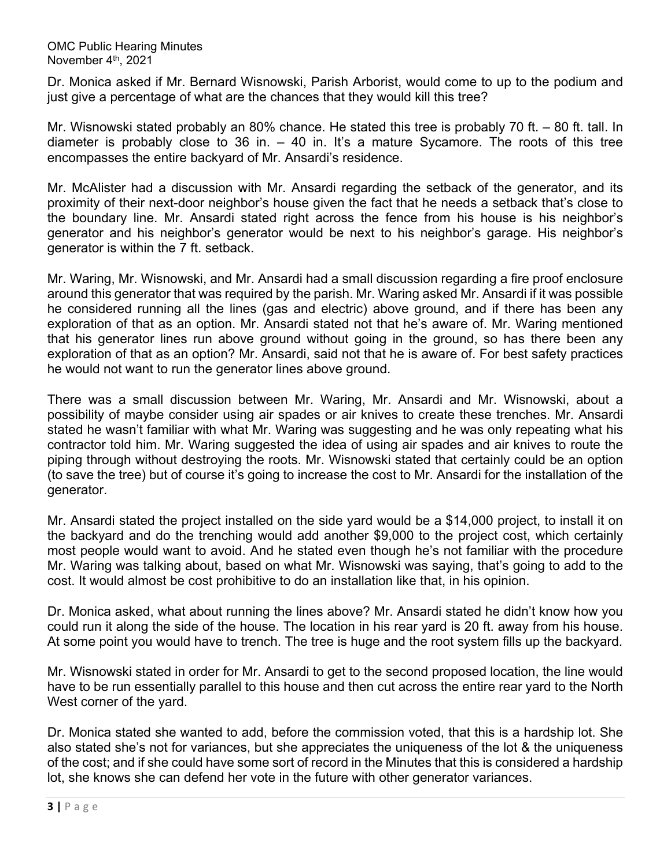Dr. Monica asked if Mr. Bernard Wisnowski, Parish Arborist, would come to up to the podium and just give a percentage of what are the chances that they would kill this tree?

Mr. Wisnowski stated probably an 80% chance. He stated this tree is probably 70 ft. – 80 ft. tall. In diameter is probably close to 36 in. – 40 in. It's a mature Sycamore. The roots of this tree encompasses the entire backyard of Mr. Ansardi's residence.

Mr. McAlister had a discussion with Mr. Ansardi regarding the setback of the generator, and its proximity of their next-door neighbor's house given the fact that he needs a setback that's close to the boundary line. Mr. Ansardi stated right across the fence from his house is his neighbor's generator and his neighbor's generator would be next to his neighbor's garage. His neighbor's generator is within the 7 ft. setback.

Mr. Waring, Mr. Wisnowski, and Mr. Ansardi had a small discussion regarding a fire proof enclosure around this generator that was required by the parish. Mr. Waring asked Mr. Ansardi if it was possible he considered running all the lines (gas and electric) above ground, and if there has been any exploration of that as an option. Mr. Ansardi stated not that he's aware of. Mr. Waring mentioned that his generator lines run above ground without going in the ground, so has there been any exploration of that as an option? Mr. Ansardi, said not that he is aware of. For best safety practices he would not want to run the generator lines above ground.

There was a small discussion between Mr. Waring, Mr. Ansardi and Mr. Wisnowski, about a possibility of maybe consider using air spades or air knives to create these trenches. Mr. Ansardi stated he wasn't familiar with what Mr. Waring was suggesting and he was only repeating what his contractor told him. Mr. Waring suggested the idea of using air spades and air knives to route the piping through without destroying the roots. Mr. Wisnowski stated that certainly could be an option (to save the tree) but of course it's going to increase the cost to Mr. Ansardi for the installation of the generator.

Mr. Ansardi stated the project installed on the side yard would be a \$14,000 project, to install it on the backyard and do the trenching would add another \$9,000 to the project cost, which certainly most people would want to avoid. And he stated even though he's not familiar with the procedure Mr. Waring was talking about, based on what Mr. Wisnowski was saying, that's going to add to the cost. It would almost be cost prohibitive to do an installation like that, in his opinion.

Dr. Monica asked, what about running the lines above? Mr. Ansardi stated he didn't know how you could run it along the side of the house. The location in his rear yard is 20 ft. away from his house. At some point you would have to trench. The tree is huge and the root system fills up the backyard.

Mr. Wisnowski stated in order for Mr. Ansardi to get to the second proposed location, the line would have to be run essentially parallel to this house and then cut across the entire rear yard to the North West corner of the yard.

Dr. Monica stated she wanted to add, before the commission voted, that this is a hardship lot. She also stated she's not for variances, but she appreciates the uniqueness of the lot & the uniqueness of the cost; and if she could have some sort of record in the Minutes that this is considered a hardship lot, she knows she can defend her vote in the future with other generator variances.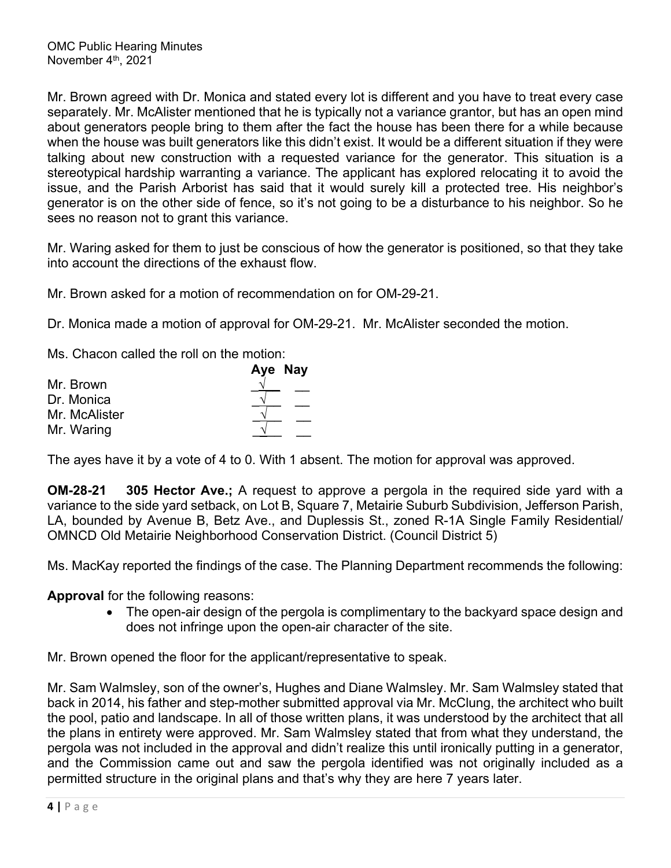Mr. Brown agreed with Dr. Monica and stated every lot is different and you have to treat every case separately. Mr. McAlister mentioned that he is typically not a variance grantor, but has an open mind about generators people bring to them after the fact the house has been there for a while because when the house was built generators like this didn't exist. It would be a different situation if they were talking about new construction with a requested variance for the generator. This situation is a stereotypical hardship warranting a variance. The applicant has explored relocating it to avoid the issue, and the Parish Arborist has said that it would surely kill a protected tree. His neighbor's generator is on the other side of fence, so it's not going to be a disturbance to his neighbor. So he sees no reason not to grant this variance.

Mr. Waring asked for them to just be conscious of how the generator is positioned, so that they take into account the directions of the exhaust flow.

Mr. Brown asked for a motion of recommendation on for OM-29-21.

Dr. Monica made a motion of approval for OM-29-21. Mr. McAlister seconded the motion.

Ms. Chacon called the roll on the motion:

|               | Aye Nay |
|---------------|---------|
| Mr. Brown     |         |
| Dr. Monica    |         |
| Mr. McAlister |         |
| Mr. Waring    |         |

The ayes have it by a vote of 4 to 0. With 1 absent. The motion for approval was approved.

**OM-28-21 305 Hector Ave.;** A request to approve a pergola in the required side yard with a variance to the side yard setback, on Lot B, Square 7, Metairie Suburb Subdivision, Jefferson Parish, LA, bounded by Avenue B, Betz Ave., and Duplessis St., zoned R-1A Single Family Residential/ OMNCD Old Metairie Neighborhood Conservation District. (Council District 5)

Ms. MacKay reported the findings of the case. The Planning Department recommends the following:

**Approval** for the following reasons:

• The open-air design of the pergola is complimentary to the backyard space design and does not infringe upon the open-air character of the site.

Mr. Brown opened the floor for the applicant/representative to speak.

Mr. Sam Walmsley, son of the owner's, Hughes and Diane Walmsley. Mr. Sam Walmsley stated that back in 2014, his father and step-mother submitted approval via Mr. McClung, the architect who built the pool, patio and landscape. In all of those written plans, it was understood by the architect that all the plans in entirety were approved. Mr. Sam Walmsley stated that from what they understand, the pergola was not included in the approval and didn't realize this until ironically putting in a generator, and the Commission came out and saw the pergola identified was not originally included as a permitted structure in the original plans and that's why they are here 7 years later.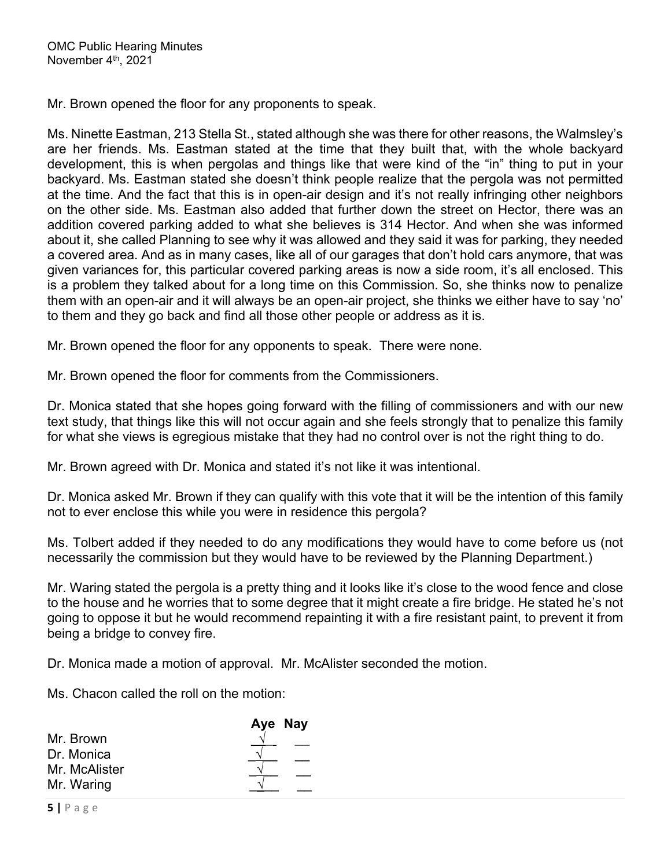Mr. Brown opened the floor for any proponents to speak.

Ms. Ninette Eastman, 213 Stella St., stated although she was there for other reasons, the Walmsley's are her friends. Ms. Eastman stated at the time that they built that, with the whole backyard development, this is when pergolas and things like that were kind of the "in" thing to put in your backyard. Ms. Eastman stated she doesn't think people realize that the pergola was not permitted at the time. And the fact that this is in open-air design and it's not really infringing other neighbors on the other side. Ms. Eastman also added that further down the street on Hector, there was an addition covered parking added to what she believes is 314 Hector. And when she was informed about it, she called Planning to see why it was allowed and they said it was for parking, they needed a covered area. And as in many cases, like all of our garages that don't hold cars anymore, that was given variances for, this particular covered parking areas is now a side room, it's all enclosed. This is a problem they talked about for a long time on this Commission. So, she thinks now to penalize them with an open-air and it will always be an open-air project, she thinks we either have to say 'no' to them and they go back and find all those other people or address as it is.

Mr. Brown opened the floor for any opponents to speak. There were none.

Mr. Brown opened the floor for comments from the Commissioners.

Dr. Monica stated that she hopes going forward with the filling of commissioners and with our new text study, that things like this will not occur again and she feels strongly that to penalize this family for what she views is egregious mistake that they had no control over is not the right thing to do.

Mr. Brown agreed with Dr. Monica and stated it's not like it was intentional.

Dr. Monica asked Mr. Brown if they can qualify with this vote that it will be the intention of this family not to ever enclose this while you were in residence this pergola?

Ms. Tolbert added if they needed to do any modifications they would have to come before us (not necessarily the commission but they would have to be reviewed by the Planning Department.)

Mr. Waring stated the pergola is a pretty thing and it looks like it's close to the wood fence and close to the house and he worries that to some degree that it might create a fire bridge. He stated he's not going to oppose it but he would recommend repainting it with a fire resistant paint, to prevent it from being a bridge to convey fire.

Dr. Monica made a motion of approval. Mr. McAlister seconded the motion.

Ms. Chacon called the roll on the motion:

|               | Aye Nay |
|---------------|---------|
| Mr. Brown     |         |
| Dr. Monica    |         |
| Mr. McAlister |         |
| Mr. Waring    |         |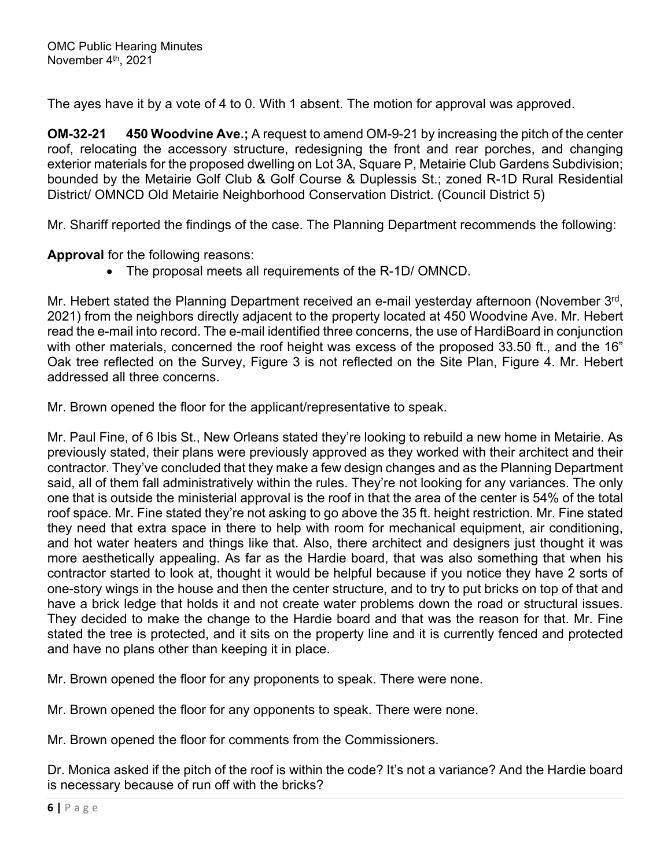The ayes have it by a vote of 4 to 0. With 1 absent. The motion for approval was approved.

**OM-32-21 450 Woodvine Ave.;** A request to amend OM-9-21 by increasing the pitch of the center roof, relocating the accessory structure, redesigning the front and rear porches, and changing exterior materials for the proposed dwelling on Lot 3A, Square P, Metairie Club Gardens Subdivision; bounded by the Metairie Golf Club & Golf Course & Duplessis St.; zoned R-1D Rural Residential District/ OMNCD Old Metairie Neighborhood Conservation District. (Council District 5)

Mr. Shariff reported the findings of the case. The Planning Department recommends the following:

**Approval** for the following reasons:

The proposal meets all requirements of the R-1D/ OMNCD.

Mr. Hebert stated the Planning Department received an e-mail yesterday afternoon (November 3rd, 2021) from the neighbors directly adjacent to the property located at 450 Woodvine Ave. Mr. Hebert read the e-mail into record. The e-mail identified three concerns, the use of HardiBoard in conjunction with other materials, concerned the roof height was excess of the proposed 33.50 ft., and the 16" Oak tree reflected on the Survey, Figure 3 is not reflected on the Site Plan, Figure 4. Mr. Hebert addressed all three concerns.

Mr. Brown opened the floor for the applicant/representative to speak.

Mr. Paul Fine, of 6 Ibis St., New Orleans stated they're looking to rebuild a new home in Metairie. As previously stated, their plans were previously approved as they worked with their architect and their contractor. They've concluded that they make a few design changes and as the Planning Department said, all of them fall administratively within the rules. They're not looking for any variances. The only one that is outside the ministerial approval is the roof in that the area of the center is 54% of the total roof space. Mr. Fine stated they're not asking to go above the 35 ft. height restriction. Mr. Fine stated they need that extra space in there to help with room for mechanical equipment, air conditioning, and hot water heaters and things like that. Also, there architect and designers just thought it was more aesthetically appealing. As far as the Hardie board, that was also something that when his contractor started to look at, thought it would be helpful because if you notice they have 2 sorts of one-story wings in the house and then the center structure, and to try to put bricks on top of that and have a brick ledge that holds it and not create water problems down the road or structural issues. They decided to make the change to the Hardie board and that was the reason for that. Mr. Fine stated the tree is protected, and it sits on the property line and it is currently fenced and protected and have no plans other than keeping it in place.

Mr. Brown opened the floor for any proponents to speak. There were none.

Mr. Brown opened the floor for any opponents to speak. There were none.

Mr. Brown opened the floor for comments from the Commissioners.

Dr. Monica asked if the pitch of the roof is within the code? It's not a variance? And the Hardie board is necessary because of run off with the bricks?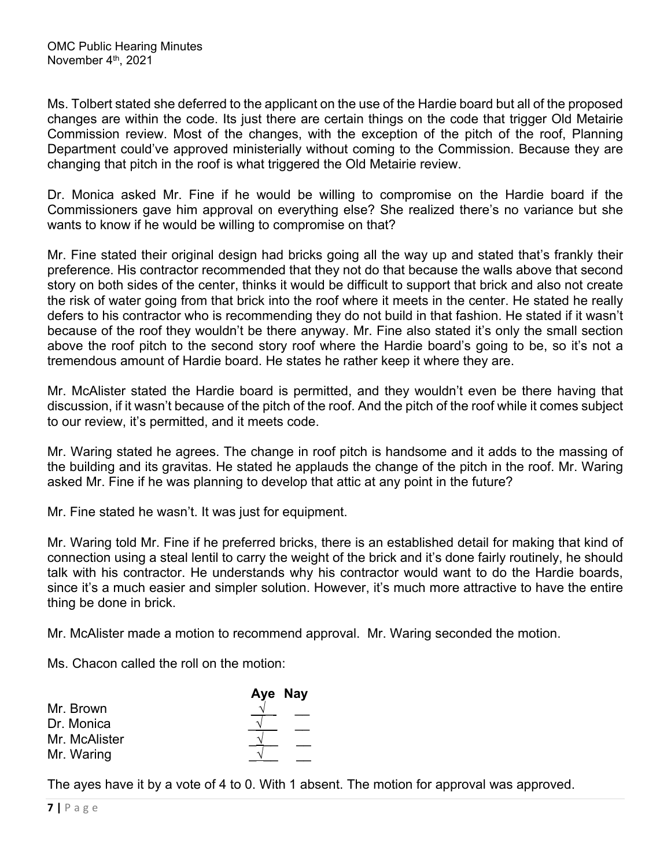Ms. Tolbert stated she deferred to the applicant on the use of the Hardie board but all of the proposed changes are within the code. Its just there are certain things on the code that trigger Old Metairie Commission review. Most of the changes, with the exception of the pitch of the roof, Planning Department could've approved ministerially without coming to the Commission. Because they are changing that pitch in the roof is what triggered the Old Metairie review.

Dr. Monica asked Mr. Fine if he would be willing to compromise on the Hardie board if the Commissioners gave him approval on everything else? She realized there's no variance but she wants to know if he would be willing to compromise on that?

Mr. Fine stated their original design had bricks going all the way up and stated that's frankly their preference. His contractor recommended that they not do that because the walls above that second story on both sides of the center, thinks it would be difficult to support that brick and also not create the risk of water going from that brick into the roof where it meets in the center. He stated he really defers to his contractor who is recommending they do not build in that fashion. He stated if it wasn't because of the roof they wouldn't be there anyway. Mr. Fine also stated it's only the small section above the roof pitch to the second story roof where the Hardie board's going to be, so it's not a tremendous amount of Hardie board. He states he rather keep it where they are.

Mr. McAlister stated the Hardie board is permitted, and they wouldn't even be there having that discussion, if it wasn't because of the pitch of the roof. And the pitch of the roof while it comes subject to our review, it's permitted, and it meets code.

Mr. Waring stated he agrees. The change in roof pitch is handsome and it adds to the massing of the building and its gravitas. He stated he applauds the change of the pitch in the roof. Mr. Waring asked Mr. Fine if he was planning to develop that attic at any point in the future?

Mr. Fine stated he wasn't. It was just for equipment.

Mr. Waring told Mr. Fine if he preferred bricks, there is an established detail for making that kind of connection using a steal lentil to carry the weight of the brick and it's done fairly routinely, he should talk with his contractor. He understands why his contractor would want to do the Hardie boards, since it's a much easier and simpler solution. However, it's much more attractive to have the entire thing be done in brick.

Mr. McAlister made a motion to recommend approval. Mr. Waring seconded the motion.

Ms. Chacon called the roll on the motion:

|               | Aye Nay |
|---------------|---------|
| Mr. Brown     |         |
| Dr. Monica    |         |
| Mr. McAlister |         |
| Mr. Waring    |         |

The ayes have it by a vote of 4 to 0. With 1 absent. The motion for approval was approved.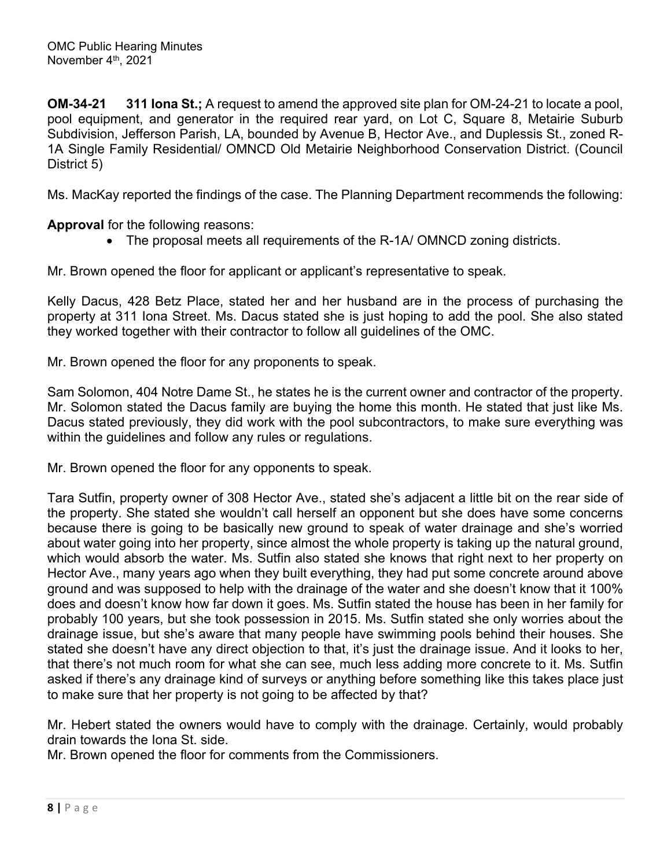**OM-34-21 311 Iona St.;** A request to amend the approved site plan for OM-24-21 to locate a pool, pool equipment, and generator in the required rear yard, on Lot C, Square 8, Metairie Suburb Subdivision, Jefferson Parish, LA, bounded by Avenue B, Hector Ave., and Duplessis St., zoned R-1A Single Family Residential/ OMNCD Old Metairie Neighborhood Conservation District. (Council District 5)

Ms. MacKay reported the findings of the case. The Planning Department recommends the following:

**Approval** for the following reasons:

• The proposal meets all requirements of the R-1A/ OMNCD zoning districts.

Mr. Brown opened the floor for applicant or applicant's representative to speak.

Kelly Dacus, 428 Betz Place, stated her and her husband are in the process of purchasing the property at 311 Iona Street. Ms. Dacus stated she is just hoping to add the pool. She also stated they worked together with their contractor to follow all guidelines of the OMC.

Mr. Brown opened the floor for any proponents to speak.

Sam Solomon, 404 Notre Dame St., he states he is the current owner and contractor of the property. Mr. Solomon stated the Dacus family are buying the home this month. He stated that just like Ms. Dacus stated previously, they did work with the pool subcontractors, to make sure everything was within the guidelines and follow any rules or regulations.

Mr. Brown opened the floor for any opponents to speak.

Tara Sutfin, property owner of 308 Hector Ave., stated she's adjacent a little bit on the rear side of the property. She stated she wouldn't call herself an opponent but she does have some concerns because there is going to be basically new ground to speak of water drainage and she's worried about water going into her property, since almost the whole property is taking up the natural ground, which would absorb the water. Ms. Sutfin also stated she knows that right next to her property on Hector Ave., many years ago when they built everything, they had put some concrete around above ground and was supposed to help with the drainage of the water and she doesn't know that it 100% does and doesn't know how far down it goes. Ms. Sutfin stated the house has been in her family for probably 100 years, but she took possession in 2015. Ms. Sutfin stated she only worries about the drainage issue, but she's aware that many people have swimming pools behind their houses. She stated she doesn't have any direct objection to that, it's just the drainage issue. And it looks to her, that there's not much room for what she can see, much less adding more concrete to it. Ms. Sutfin asked if there's any drainage kind of surveys or anything before something like this takes place just to make sure that her property is not going to be affected by that?

Mr. Hebert stated the owners would have to comply with the drainage. Certainly, would probably drain towards the Iona St. side.

Mr. Brown opened the floor for comments from the Commissioners.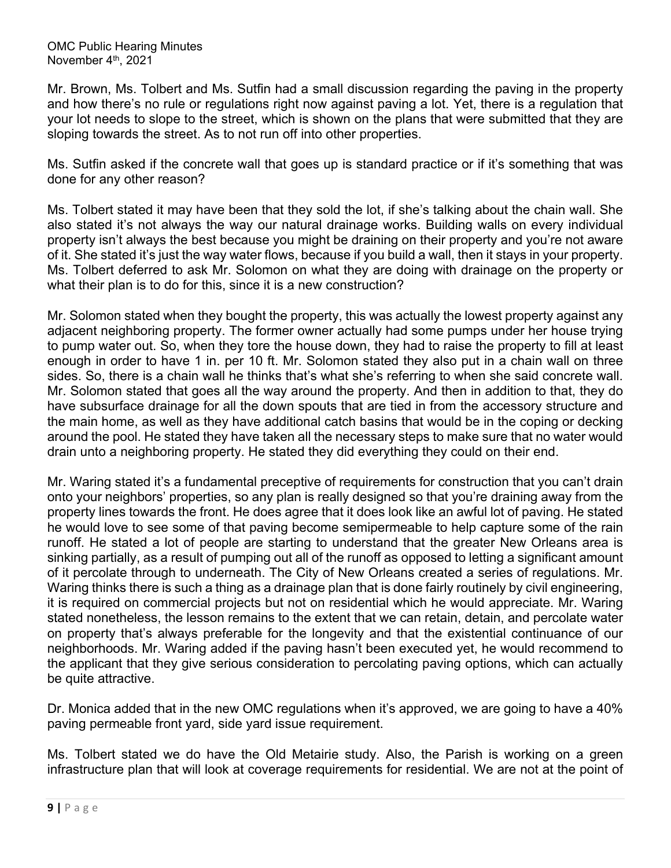Mr. Brown, Ms. Tolbert and Ms. Sutfin had a small discussion regarding the paving in the property and how there's no rule or regulations right now against paving a lot. Yet, there is a regulation that your lot needs to slope to the street, which is shown on the plans that were submitted that they are sloping towards the street. As to not run off into other properties.

Ms. Sutfin asked if the concrete wall that goes up is standard practice or if it's something that was done for any other reason?

Ms. Tolbert stated it may have been that they sold the lot, if she's talking about the chain wall. She also stated it's not always the way our natural drainage works. Building walls on every individual property isn't always the best because you might be draining on their property and you're not aware of it. She stated it's just the way water flows, because if you build a wall, then it stays in your property. Ms. Tolbert deferred to ask Mr. Solomon on what they are doing with drainage on the property or what their plan is to do for this, since it is a new construction?

Mr. Solomon stated when they bought the property, this was actually the lowest property against any adjacent neighboring property. The former owner actually had some pumps under her house trying to pump water out. So, when they tore the house down, they had to raise the property to fill at least enough in order to have 1 in. per 10 ft. Mr. Solomon stated they also put in a chain wall on three sides. So, there is a chain wall he thinks that's what she's referring to when she said concrete wall. Mr. Solomon stated that goes all the way around the property. And then in addition to that, they do have subsurface drainage for all the down spouts that are tied in from the accessory structure and the main home, as well as they have additional catch basins that would be in the coping or decking around the pool. He stated they have taken all the necessary steps to make sure that no water would drain unto a neighboring property. He stated they did everything they could on their end.

Mr. Waring stated it's a fundamental preceptive of requirements for construction that you can't drain onto your neighbors' properties, so any plan is really designed so that you're draining away from the property lines towards the front. He does agree that it does look like an awful lot of paving. He stated he would love to see some of that paving become semipermeable to help capture some of the rain runoff. He stated a lot of people are starting to understand that the greater New Orleans area is sinking partially, as a result of pumping out all of the runoff as opposed to letting a significant amount of it percolate through to underneath. The City of New Orleans created a series of regulations. Mr. Waring thinks there is such a thing as a drainage plan that is done fairly routinely by civil engineering, it is required on commercial projects but not on residential which he would appreciate. Mr. Waring stated nonetheless, the lesson remains to the extent that we can retain, detain, and percolate water on property that's always preferable for the longevity and that the existential continuance of our neighborhoods. Mr. Waring added if the paving hasn't been executed yet, he would recommend to the applicant that they give serious consideration to percolating paving options, which can actually be quite attractive.

Dr. Monica added that in the new OMC regulations when it's approved, we are going to have a 40% paving permeable front yard, side yard issue requirement.

Ms. Tolbert stated we do have the Old Metairie study. Also, the Parish is working on a green infrastructure plan that will look at coverage requirements for residential. We are not at the point of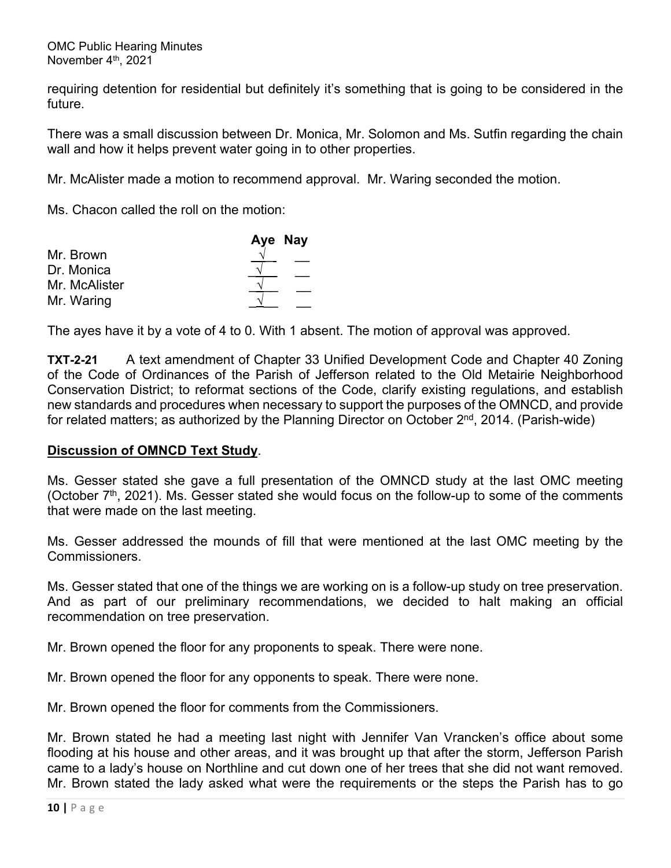requiring detention for residential but definitely it's something that is going to be considered in the future.

There was a small discussion between Dr. Monica, Mr. Solomon and Ms. Sutfin regarding the chain wall and how it helps prevent water going in to other properties.

Mr. McAlister made a motion to recommend approval. Mr. Waring seconded the motion.

Ms. Chacon called the roll on the motion:

|               | Aye Nay |
|---------------|---------|
| Mr. Brown     |         |
| Dr. Monica    |         |
| Mr. McAlister |         |
| Mr. Waring    |         |

The ayes have it by a vote of 4 to 0. With 1 absent. The motion of approval was approved.

**TXT-2-21** A text amendment of Chapter 33 Unified Development Code and Chapter 40 Zoning of the Code of Ordinances of the Parish of Jefferson related to the Old Metairie Neighborhood Conservation District; to reformat sections of the Code, clarify existing regulations, and establish new standards and procedures when necessary to support the purposes of the OMNCD, and provide for related matters; as authorized by the Planning Director on October  $2^{nd}$ , 2014. (Parish-wide)

### **Discussion of OMNCD Text Study**.

Ms. Gesser stated she gave a full presentation of the OMNCD study at the last OMC meeting (October  $7<sup>th</sup>$ , 2021). Ms. Gesser stated she would focus on the follow-up to some of the comments that were made on the last meeting.

Ms. Gesser addressed the mounds of fill that were mentioned at the last OMC meeting by the Commissioners.

Ms. Gesser stated that one of the things we are working on is a follow-up study on tree preservation. And as part of our preliminary recommendations, we decided to halt making an official recommendation on tree preservation.

Mr. Brown opened the floor for any proponents to speak. There were none.

Mr. Brown opened the floor for any opponents to speak. There were none.

Mr. Brown opened the floor for comments from the Commissioners.

Mr. Brown stated he had a meeting last night with Jennifer Van Vrancken's office about some flooding at his house and other areas, and it was brought up that after the storm, Jefferson Parish came to a lady's house on Northline and cut down one of her trees that she did not want removed. Mr. Brown stated the lady asked what were the requirements or the steps the Parish has to go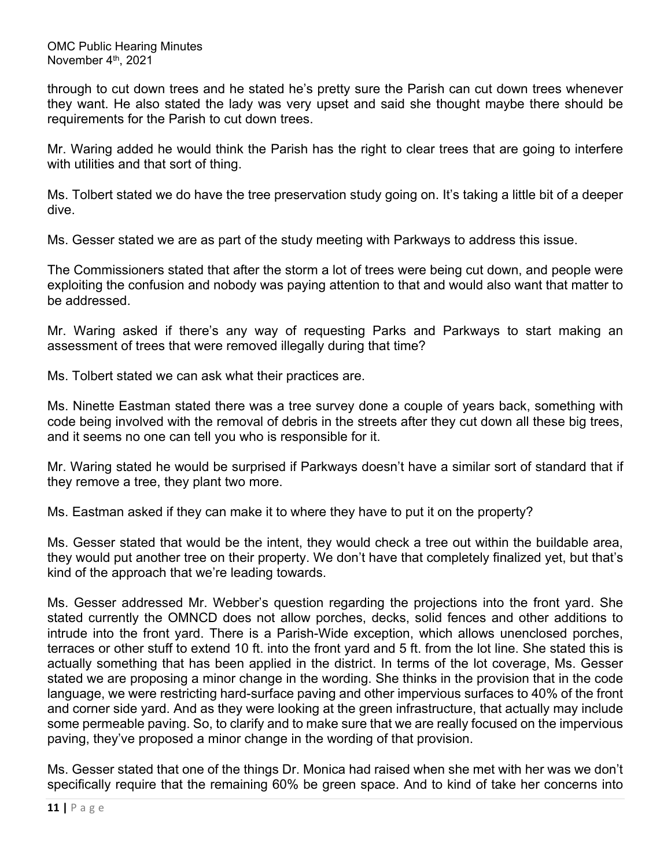through to cut down trees and he stated he's pretty sure the Parish can cut down trees whenever they want. He also stated the lady was very upset and said she thought maybe there should be requirements for the Parish to cut down trees.

Mr. Waring added he would think the Parish has the right to clear trees that are going to interfere with utilities and that sort of thing.

Ms. Tolbert stated we do have the tree preservation study going on. It's taking a little bit of a deeper dive.

Ms. Gesser stated we are as part of the study meeting with Parkways to address this issue.

The Commissioners stated that after the storm a lot of trees were being cut down, and people were exploiting the confusion and nobody was paying attention to that and would also want that matter to be addressed.

Mr. Waring asked if there's any way of requesting Parks and Parkways to start making an assessment of trees that were removed illegally during that time?

Ms. Tolbert stated we can ask what their practices are.

Ms. Ninette Eastman stated there was a tree survey done a couple of years back, something with code being involved with the removal of debris in the streets after they cut down all these big trees, and it seems no one can tell you who is responsible for it.

Mr. Waring stated he would be surprised if Parkways doesn't have a similar sort of standard that if they remove a tree, they plant two more.

Ms. Eastman asked if they can make it to where they have to put it on the property?

Ms. Gesser stated that would be the intent, they would check a tree out within the buildable area, they would put another tree on their property. We don't have that completely finalized yet, but that's kind of the approach that we're leading towards.

Ms. Gesser addressed Mr. Webber's question regarding the projections into the front yard. She stated currently the OMNCD does not allow porches, decks, solid fences and other additions to intrude into the front yard. There is a Parish-Wide exception, which allows unenclosed porches, terraces or other stuff to extend 10 ft. into the front yard and 5 ft. from the lot line. She stated this is actually something that has been applied in the district. In terms of the lot coverage, Ms. Gesser stated we are proposing a minor change in the wording. She thinks in the provision that in the code language, we were restricting hard-surface paving and other impervious surfaces to 40% of the front and corner side yard. And as they were looking at the green infrastructure, that actually may include some permeable paving. So, to clarify and to make sure that we are really focused on the impervious paving, they've proposed a minor change in the wording of that provision.

Ms. Gesser stated that one of the things Dr. Monica had raised when she met with her was we don't specifically require that the remaining 60% be green space. And to kind of take her concerns into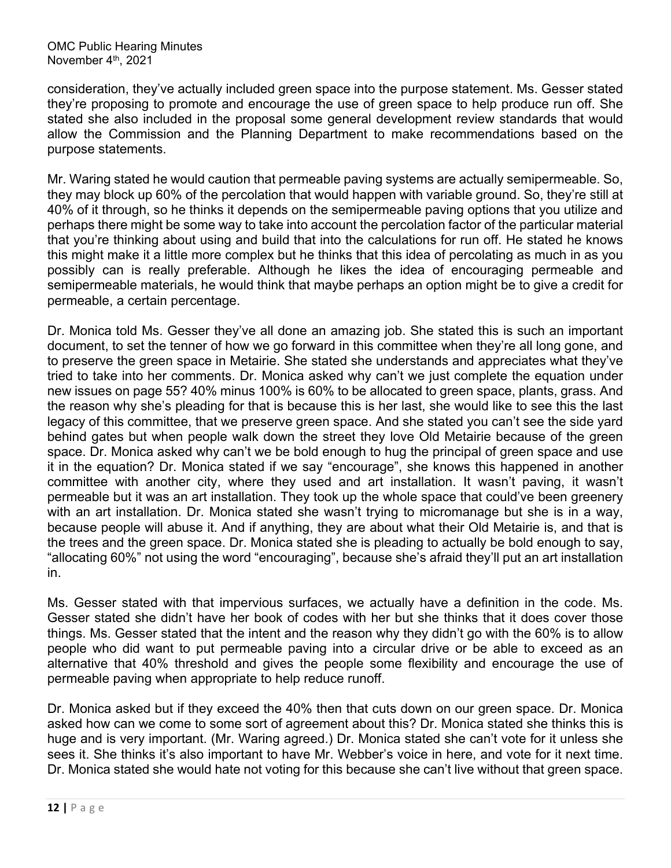consideration, they've actually included green space into the purpose statement. Ms. Gesser stated they're proposing to promote and encourage the use of green space to help produce run off. She stated she also included in the proposal some general development review standards that would allow the Commission and the Planning Department to make recommendations based on the purpose statements.

Mr. Waring stated he would caution that permeable paving systems are actually semipermeable. So, they may block up 60% of the percolation that would happen with variable ground. So, they're still at 40% of it through, so he thinks it depends on the semipermeable paving options that you utilize and perhaps there might be some way to take into account the percolation factor of the particular material that you're thinking about using and build that into the calculations for run off. He stated he knows this might make it a little more complex but he thinks that this idea of percolating as much in as you possibly can is really preferable. Although he likes the idea of encouraging permeable and semipermeable materials, he would think that maybe perhaps an option might be to give a credit for permeable, a certain percentage.

Dr. Monica told Ms. Gesser they've all done an amazing job. She stated this is such an important document, to set the tenner of how we go forward in this committee when they're all long gone, and to preserve the green space in Metairie. She stated she understands and appreciates what they've tried to take into her comments. Dr. Monica asked why can't we just complete the equation under new issues on page 55? 40% minus 100% is 60% to be allocated to green space, plants, grass. And the reason why she's pleading for that is because this is her last, she would like to see this the last legacy of this committee, that we preserve green space. And she stated you can't see the side yard behind gates but when people walk down the street they love Old Metairie because of the green space. Dr. Monica asked why can't we be bold enough to hug the principal of green space and use it in the equation? Dr. Monica stated if we say "encourage", she knows this happened in another committee with another city, where they used and art installation. It wasn't paving, it wasn't permeable but it was an art installation. They took up the whole space that could've been greenery with an art installation. Dr. Monica stated she wasn't trying to micromanage but she is in a way, because people will abuse it. And if anything, they are about what their Old Metairie is, and that is the trees and the green space. Dr. Monica stated she is pleading to actually be bold enough to say, "allocating 60%" not using the word "encouraging", because she's afraid they'll put an art installation in.

Ms. Gesser stated with that impervious surfaces, we actually have a definition in the code. Ms. Gesser stated she didn't have her book of codes with her but she thinks that it does cover those things. Ms. Gesser stated that the intent and the reason why they didn't go with the 60% is to allow people who did want to put permeable paving into a circular drive or be able to exceed as an alternative that 40% threshold and gives the people some flexibility and encourage the use of permeable paving when appropriate to help reduce runoff.

Dr. Monica asked but if they exceed the 40% then that cuts down on our green space. Dr. Monica asked how can we come to some sort of agreement about this? Dr. Monica stated she thinks this is huge and is very important. (Mr. Waring agreed.) Dr. Monica stated she can't vote for it unless she sees it. She thinks it's also important to have Mr. Webber's voice in here, and vote for it next time. Dr. Monica stated she would hate not voting for this because she can't live without that green space.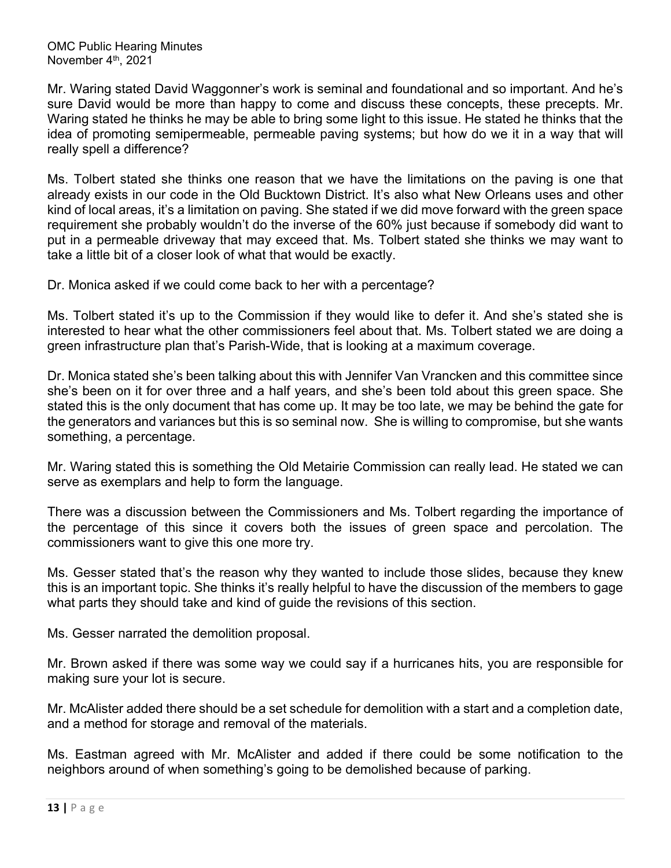Mr. Waring stated David Waggonner's work is seminal and foundational and so important. And he's sure David would be more than happy to come and discuss these concepts, these precepts. Mr. Waring stated he thinks he may be able to bring some light to this issue. He stated he thinks that the idea of promoting semipermeable, permeable paving systems; but how do we it in a way that will really spell a difference?

Ms. Tolbert stated she thinks one reason that we have the limitations on the paving is one that already exists in our code in the Old Bucktown District. It's also what New Orleans uses and other kind of local areas, it's a limitation on paving. She stated if we did move forward with the green space requirement she probably wouldn't do the inverse of the 60% just because if somebody did want to put in a permeable driveway that may exceed that. Ms. Tolbert stated she thinks we may want to take a little bit of a closer look of what that would be exactly.

Dr. Monica asked if we could come back to her with a percentage?

Ms. Tolbert stated it's up to the Commission if they would like to defer it. And she's stated she is interested to hear what the other commissioners feel about that. Ms. Tolbert stated we are doing a green infrastructure plan that's Parish-Wide, that is looking at a maximum coverage.

Dr. Monica stated she's been talking about this with Jennifer Van Vrancken and this committee since she's been on it for over three and a half years, and she's been told about this green space. She stated this is the only document that has come up. It may be too late, we may be behind the gate for the generators and variances but this is so seminal now. She is willing to compromise, but she wants something, a percentage.

Mr. Waring stated this is something the Old Metairie Commission can really lead. He stated we can serve as exemplars and help to form the language.

There was a discussion between the Commissioners and Ms. Tolbert regarding the importance of the percentage of this since it covers both the issues of green space and percolation. The commissioners want to give this one more try.

Ms. Gesser stated that's the reason why they wanted to include those slides, because they knew this is an important topic. She thinks it's really helpful to have the discussion of the members to gage what parts they should take and kind of guide the revisions of this section.

Ms. Gesser narrated the demolition proposal.

Mr. Brown asked if there was some way we could say if a hurricanes hits, you are responsible for making sure your lot is secure.

Mr. McAlister added there should be a set schedule for demolition with a start and a completion date, and a method for storage and removal of the materials.

Ms. Eastman agreed with Mr. McAlister and added if there could be some notification to the neighbors around of when something's going to be demolished because of parking.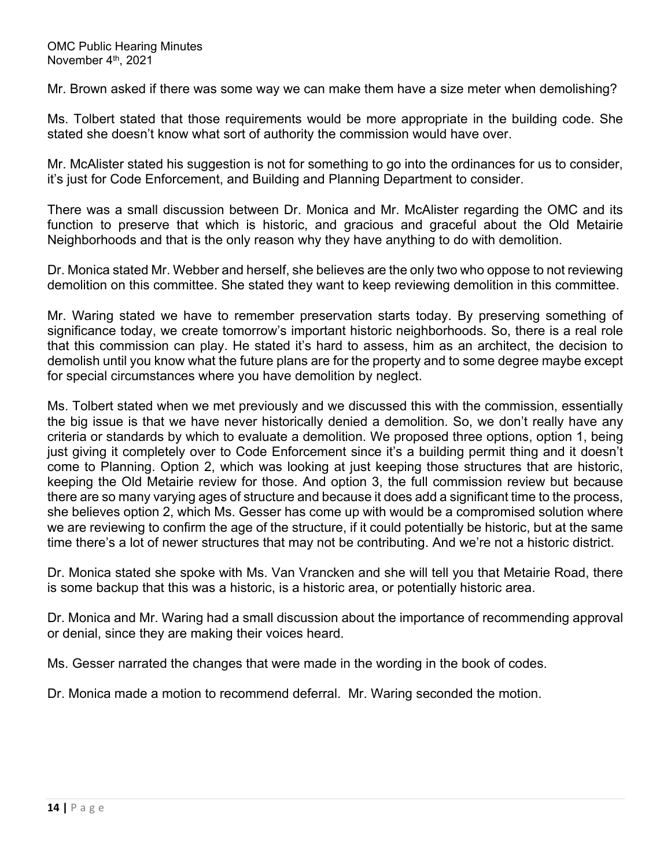Mr. Brown asked if there was some way we can make them have a size meter when demolishing?

Ms. Tolbert stated that those requirements would be more appropriate in the building code. She stated she doesn't know what sort of authority the commission would have over.

Mr. McAlister stated his suggestion is not for something to go into the ordinances for us to consider, it's just for Code Enforcement, and Building and Planning Department to consider.

There was a small discussion between Dr. Monica and Mr. McAlister regarding the OMC and its function to preserve that which is historic, and gracious and graceful about the Old Metairie Neighborhoods and that is the only reason why they have anything to do with demolition.

Dr. Monica stated Mr. Webber and herself, she believes are the only two who oppose to not reviewing demolition on this committee. She stated they want to keep reviewing demolition in this committee.

Mr. Waring stated we have to remember preservation starts today. By preserving something of significance today, we create tomorrow's important historic neighborhoods. So, there is a real role that this commission can play. He stated it's hard to assess, him as an architect, the decision to demolish until you know what the future plans are for the property and to some degree maybe except for special circumstances where you have demolition by neglect.

Ms. Tolbert stated when we met previously and we discussed this with the commission, essentially the big issue is that we have never historically denied a demolition. So, we don't really have any criteria or standards by which to evaluate a demolition. We proposed three options, option 1, being just giving it completely over to Code Enforcement since it's a building permit thing and it doesn't come to Planning. Option 2, which was looking at just keeping those structures that are historic, keeping the Old Metairie review for those. And option 3, the full commission review but because there are so many varying ages of structure and because it does add a significant time to the process, she believes option 2, which Ms. Gesser has come up with would be a compromised solution where we are reviewing to confirm the age of the structure, if it could potentially be historic, but at the same time there's a lot of newer structures that may not be contributing. And we're not a historic district.

Dr. Monica stated she spoke with Ms. Van Vrancken and she will tell you that Metairie Road, there is some backup that this was a historic, is a historic area, or potentially historic area.

Dr. Monica and Mr. Waring had a small discussion about the importance of recommending approval or denial, since they are making their voices heard.

Ms. Gesser narrated the changes that were made in the wording in the book of codes.

Dr. Monica made a motion to recommend deferral. Mr. Waring seconded the motion.